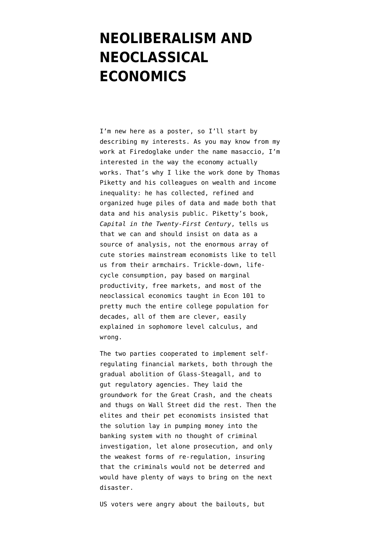## **[NEOLIBERALISM AND](https://www.emptywheel.net/2014/12/09/neoliberalism-and-neoclassical-economics/) [NEOCLASSICAL](https://www.emptywheel.net/2014/12/09/neoliberalism-and-neoclassical-economics/) [ECONOMICS](https://www.emptywheel.net/2014/12/09/neoliberalism-and-neoclassical-economics/)**

I'm new here as a poster, so I'll start by describing my interests. As you may know from my work at [Firedoglake](https://www.emptywheel.net/firedoglake.com) under the name [masaccio](http://firedoglake.com/author/masaccio/), I'm interested in the way the economy actually works. That's why I like the work done by Thomas Piketty and his colleagues on wealth and income inequality: he has collected, refined and organized huge piles of data and made both that data and his analysis public. Piketty's book, *Capital in the Twenty-First Century*, tells us that we can and should insist on data as a source of analysis, not the enormous array of cute stories mainstream economists like to tell us from their armchairs. Trickle-down, lifecycle consumption, pay based on marginal productivity, free markets, and most of the neoclassical economics taught in Econ 101 to pretty much the entire college population for decades, all of them are clever, easily explained in sophomore level calculus, and wrong.

The two parties cooperated to implement selfregulating financial markets, both through the gradual abolition of Glass-Steagall, and to gut regulatory agencies. They laid the groundwork for the Great Crash, and the cheats and thugs on Wall Street did the rest. Then the elites and their pet economists insisted that the solution lay in pumping money into the banking system with no thought of criminal investigation, let alone prosecution, and only the weakest forms of re-regulation, insuring that the criminals would not be deterred and would have plenty of ways to bring on the next disaster.

US voters were angry about the bailouts, but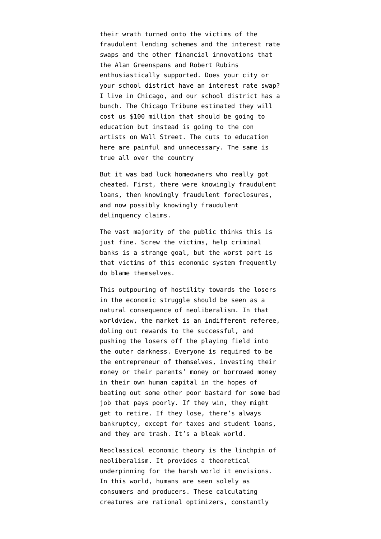their wrath turned onto the victims of the fraudulent lending schemes and the interest rate swaps and the other financial innovations that the Alan Greenspans and Robert Rubins enthusiastically supported. Does your city or your school district have an interest rate swap? I live in Chicago, and our school district has a bunch. [The Chicago Tribune estimated](http://www.chicagotribune.com/news/watchdog/cpsbonds/ct-chicago-public-schools-bond-deals-met-20141107-story.html#page=1%20) they will cost us \$100 million that should be going to education but instead is going to the con artists on Wall Street. The cuts to education here are painful and unnecessary. The same is true all over the country

But it was bad luck homeowners who really got cheated. First, there were knowingly fraudulent loans, then knowingly fraudulent foreclosures, and [now possibly knowingly fraudulent](http://realtime.blog.palmbeachpost.com/2014/12/08/homeowner-fights-double-foreclosure-smackdown/) [delinquency claims.](http://realtime.blog.palmbeachpost.com/2014/12/08/homeowner-fights-double-foreclosure-smackdown/)

The vast majority of the public thinks this is just fine. Screw the victims, help criminal banks is a strange goal, but the worst part is that victims of this economic system [frequently](https://firedoglake.com/2013/09/01/the-blighted-future-of-the-middle-class/) [do blame themselves](https://firedoglake.com/2013/09/01/the-blighted-future-of-the-middle-class/).

This outpouring of hostility towards the losers in the economic struggle should be seen as a natural consequence of neoliberalism. In that worldview, the market is an indifferent referee, doling out rewards to the successful, and pushing the losers off the playing field into the outer darkness. Everyone is required to be the entrepreneur of themselves, investing their money or their parents' money or borrowed money in their own human capital in the hopes of beating out some other poor bastard for some bad job that pays poorly. If they win, they might get to retire. If they lose, there's always bankruptcy, except for taxes and student loans, and they are trash. It's a bleak world.

Neoclassical economic theory is the linchpin of neoliberalism. It provides a theoretical underpinning for the harsh world it envisions. In this world, humans are seen solely as consumers and producers. These calculating creatures are rational optimizers, constantly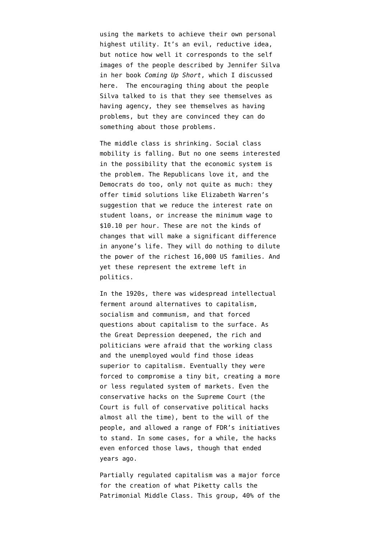using the markets to achieve their own personal highest utility. It's an evil, reductive idea, but notice how well it corresponds to the self images of the people described by Jennifer Silva in her book *Coming Up Short*, [which I discussed](https://firedoglake.com/2013/09/01/the-blighted-future-of-the-middle-class/) [here](https://firedoglake.com/2013/09/01/the-blighted-future-of-the-middle-class/). The encouraging thing about the people Silva talked to is that they see themselves as having agency, they see themselves as having problems, but they are convinced they can do something about those problems.

The middle class is shrinking. Social class mobility is falling. But no one seems interested in the possibility that the economic system is the problem. The Republicans love it, and the Democrats do too, only not quite as much: they offer timid solutions like Elizabeth Warren's suggestion that we reduce the interest rate on student loans, or increase the minimum wage to \$10.10 per hour. These are not the kinds of changes that will make a significant difference in anyone's life. They will do nothing to dilute the power of the richest 16,000 US families. And yet these represent the extreme left in politics.

In the 1920s, there was widespread intellectual ferment around alternatives to capitalism, socialism and communism, and that forced questions about capitalism to the surface. As the Great Depression deepened, the rich and politicians were afraid that the working class and the unemployed would find those ideas superior to capitalism. Eventually they were forced to compromise a tiny bit, creating a more or less regulated system of markets. Even the conservative hacks on the Supreme Court (the Court is full of conservative political hacks almost all the time), bent to the will of the people, and allowed a range of FDR's initiatives to stand. In some cases, for a while, the hacks even enforced those laws, though that ended years ago.

Partially regulated capitalism was a major force for the creation of what Piketty calls the Patrimonial Middle Class. This group, 40% of the